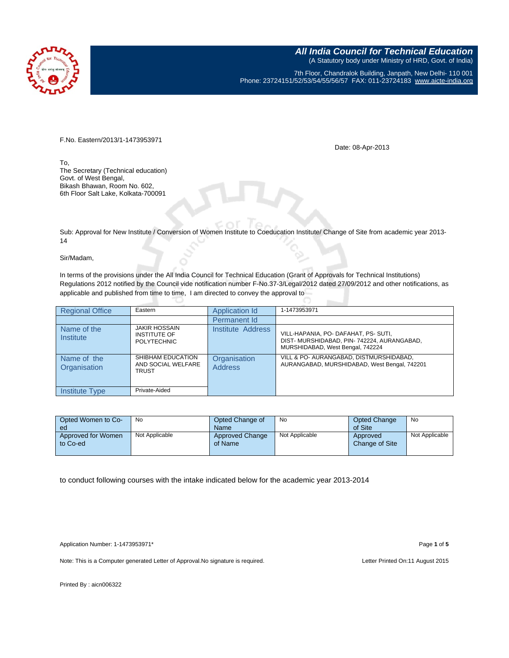

**All India Council for Technical Education** (A Statutory body under Ministry of HRD, Govt. of India) 7th Floor, Chandralok Building, Janpath, New Delhi- 110 001 Phone: 23724151/52/53/54/55/56/57 FAX: 011-23724183 [www.aicte-india.org](http://www.aicte-india.org/)

F.No. Eastern/2013/1-1473953971

Date: 08-Apr-2013

To, The Secretary (Technical education) Govt. of West Bengal, Bikash Bhawan, Room No. 602, 6th Floor Salt Lake, Kolkata-700091

Sub: Approval for New Institute / Conversion of Women Institute to Coeducation Institute/ Change of Site from academic year 2013- 14

## Sir/Madam,

In terms of the provisions under the All India Council for Technical Education (Grant of Approvals for Technical Institutions) Regulations 2012 notified by the Council vide notification number F-No.37-3/Legal/2012 dated 27/09/2012 and other notifications, as applicable and published from time to time, I am directed to convey the approval to

| <b>Regional Office</b>          | Eastern                                                           | Application Id                 | 1-1473953971                                                                                                           |
|---------------------------------|-------------------------------------------------------------------|--------------------------------|------------------------------------------------------------------------------------------------------------------------|
|                                 |                                                                   | Permanent Id                   |                                                                                                                        |
| Name of the<br><b>Institute</b> | <b>JAKIR HOSSAIN</b><br><b>INSTITUTE OF</b><br><b>POLYTECHNIC</b> | Institute Address              | VILL-HAPANIA, PO- DAFAHAT, PS- SUTI,<br>DIST- MURSHIDABAD, PIN-742224, AURANGABAD,<br>MURSHIDABAD, West Bengal, 742224 |
| Name of the<br>Organisation     | SHIBHAM EDUCATION<br>AND SOCIAL WELFARE<br><b>TRUST</b>           | Organisation<br><b>Address</b> | VILL & PO- AURANGABAD, DISTMURSHIDABAD,<br>AURANGABAD, MURSHIDABAD, West Bengal, 742201                                |
| <b>Institute Type</b>           | Private-Aided                                                     |                                |                                                                                                                        |

| Opted Women to Co- | No             | Opted Change of        | No             | <b>Opted Change</b> | No             |
|--------------------|----------------|------------------------|----------------|---------------------|----------------|
| ed                 |                | Name                   |                | of Site             |                |
| Approved for Women | Not Applicable | <b>Approved Change</b> | Not Applicable | Approved            | Not Applicable |
| to Co-ed           |                | of Name                |                | Change of Site      |                |
|                    |                |                        |                |                     |                |

to conduct following courses with the intake indicated below for the academic year 2013-2014

Application Number: 1-1473953971\* Page **1** of **5**

Note: This is a Computer generated Letter of Approval. No signature is required. Letter Printed On:11 August 2015

Printed By : aicn006322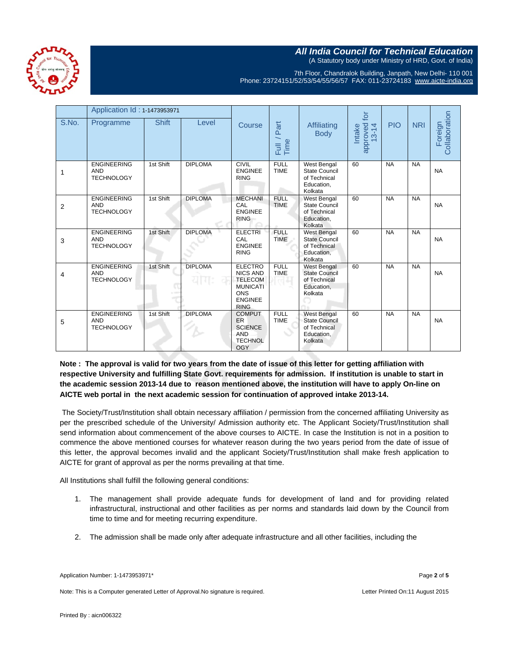



7th Floor, Chandralok Building, Janpath, New Delhi- 110 001 Phone: 23724151/52/53/54/55/56/57 FAX: 011-23724183 [www.aicte-india.org](http://www.aicte-india.org/)

|                | Application Id: 1-1473953971                          |              |                             |                                                                                                                       |                            | $\overline{p}$                                                                      |                                             |            |            |                          |
|----------------|-------------------------------------------------------|--------------|-----------------------------|-----------------------------------------------------------------------------------------------------------------------|----------------------------|-------------------------------------------------------------------------------------|---------------------------------------------|------------|------------|--------------------------|
| S.No.          | Programme                                             | <b>Shift</b> | Level                       | Course                                                                                                                | Part<br>Full /<br>Time     | Affiliating<br><b>Body</b>                                                          | approved<br>13-14<br><b>Intake</b><br>$3-1$ | <b>PIO</b> | <b>NRI</b> | Collaboration<br>Foreign |
| 1              | <b>ENGINEERING</b><br><b>AND</b><br><b>TECHNOLOGY</b> | 1st Shift    | <b>DIPLOMA</b>              | <b>CIVIL</b><br><b>ENGINEE</b><br><b>RING</b>                                                                         | <b>FULL</b><br><b>TIME</b> | West Bengal<br><b>State Council</b><br>of Technical<br>Education,<br>Kolkata        | 60                                          | <b>NA</b>  | <b>NA</b>  | <b>NA</b>                |
| $\overline{2}$ | <b>ENGINEERING</b><br><b>AND</b><br><b>TECHNOLOGY</b> | 1st Shift    | <b>DIPLOMA</b>              | <b>MECHANI</b><br>CAL<br><b>ENGINEE</b><br><b>RING</b>                                                                | <b>FULL</b><br><b>TIME</b> | West Bengal<br><b>State Council</b><br>of Technical<br>Education,<br>Kolkata        | 60                                          | <b>NA</b>  | <b>NA</b>  | <b>NA</b>                |
| 3              | <b>ENGINEERING</b><br><b>AND</b><br><b>TECHNOLOGY</b> | 1st Shift    | <b>DIPLOMA</b>              | <b>ELECTRI</b><br>CAL<br><b>ENGINEE</b><br><b>RING</b>                                                                | <b>FULL</b><br><b>TIME</b> | <b>West Bengal</b><br><b>State Council</b><br>of Technical<br>Education,<br>Kolkata | 60                                          | <b>NA</b>  | <b>NA</b>  | <b>NA</b>                |
| 4              | <b>ENGINEERING</b><br><b>AND</b><br><b>TECHNOLOGY</b> | 1st Shift    | <b>DIPLOMA</b><br>यागः<br>o | <b>ELECTRO</b><br><b>NICS AND</b><br><b>TELECOM</b><br><b>MUNICATI</b><br><b>ONS</b><br><b>ENGINEE</b><br><b>RING</b> | <b>FULL</b><br><b>TIME</b> | <b>West Bengal</b><br><b>State Council</b><br>of Technical<br>Education,<br>Kolkata | 60                                          | <b>NA</b>  | <b>NA</b>  | <b>NA</b>                |
| 5              | <b>ENGINEERING</b><br><b>AND</b><br><b>TECHNOLOGY</b> | 1st Shift    | <b>DIPLOMA</b>              | <b>COMPUT</b><br><b>ER</b><br><b>SCIENCE</b><br><b>AND</b><br><b>TECHNOL</b><br><b>OGY</b>                            | <b>FULL</b><br><b>TIME</b> | <b>West Bengal</b><br><b>State Council</b><br>of Technical<br>Education,<br>Kolkata | 60                                          | <b>NA</b>  | <b>NA</b>  | <b>NA</b>                |

**Note : The approval is valid for two years from the date of issue of this letter for getting affiliation with respective University and fulfilling State Govt. requirements for admission. If institution is unable to start in the academic session 2013-14 due to reason mentioned above, the institution will have to apply On-line on AICTE web portal in the next academic session for continuation of approved intake 2013-14.**

The Society/Trust/Institution shall obtain necessary affiliation / permission from the concerned affiliating University as per the prescribed schedule of the University/ Admission authority etc. The Applicant Society/Trust/Institution shall send information about commencement of the above courses to AICTE. In case the Institution is not in a position to commence the above mentioned courses for whatever reason during the two years period from the date of issue of this letter, the approval becomes invalid and the applicant Society/Trust/Institution shall make fresh application to AICTE for grant of approval as per the norms prevailing at that time.

All Institutions shall fulfill the following general conditions:

- 1. The management shall provide adequate funds for development of land and for providing related infrastructural, instructional and other facilities as per norms and standards laid down by the Council from time to time and for meeting recurring expenditure.
- 2. The admission shall be made only after adequate infrastructure and all other facilities, including the

Note: This is a Computer generated Letter of Approval.No signature is required. Letter Printed On:11 August 2015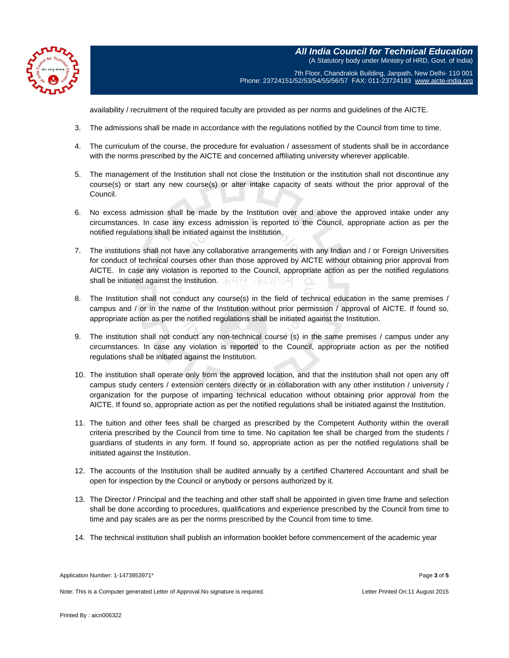

**All India Council for Technical Education** (A Statutory body under Ministry of HRD, Govt. of India) 7th Floor, Chandralok Building, Janpath, New Delhi- 110 001 Phone: 23724151/52/53/54/55/56/57 FAX: 011-23724183 [www.aicte-india.org](http://www.aicte-india.org/)

availability / recruitment of the required faculty are provided as per norms and guidelines of the AICTE.

- 3. The admissions shall be made in accordance with the regulations notified by the Council from time to time.
- 4. The curriculum of the course, the procedure for evaluation / assessment of students shall be in accordance with the norms prescribed by the AICTE and concerned affiliating university wherever applicable.
- 5. The management of the Institution shall not close the Institution or the institution shall not discontinue any course(s) or start any new course(s) or alter intake capacity of seats without the prior approval of the Council.
- 6. No excess admission shall be made by the Institution over and above the approved intake under any circumstances. In case any excess admission is reported to the Council, appropriate action as per the notified regulations shall be initiated against the Institution.
- 7. The institutions shall not have any collaborative arrangements with any Indian and / or Foreign Universities for conduct of technical courses other than those approved by AICTE without obtaining prior approval from AICTE. In case any violation is reported to the Council, appropriate action as per the notified regulations shall be initiated against the Institution.
- 8. The Institution shall not conduct any course(s) in the field of technical education in the same premises / campus and / or in the name of the Institution without prior permission / approval of AICTE. If found so, appropriate action as per the notified regulations shall be initiated against the Institution.
- 9. The institution shall not conduct any non-technical course (s) in the same premises / campus under any circumstances. In case any violation is reported to the Council, appropriate action as per the notified regulations shall be initiated against the Institution.
- 10. The institution shall operate only from the approved location, and that the institution shall not open any off campus study centers / extension centers directly or in collaboration with any other institution / university / organization for the purpose of imparting technical education without obtaining prior approval from the AICTE. If found so, appropriate action as per the notified regulations shall be initiated against the Institution.
- 11. The tuition and other fees shall be charged as prescribed by the Competent Authority within the overall criteria prescribed by the Council from time to time. No capitation fee shall be charged from the students / guardians of students in any form. If found so, appropriate action as per the notified regulations shall be initiated against the Institution.
- 12. The accounts of the Institution shall be audited annually by a certified Chartered Accountant and shall be open for inspection by the Council or anybody or persons authorized by it.
- 13. The Director / Principal and the teaching and other staff shall be appointed in given time frame and selection shall be done according to procedures, qualifications and experience prescribed by the Council from time to time and pay scales are as per the norms prescribed by the Council from time to time.
- 14. The technical institution shall publish an information booklet before commencement of the academic year

Note: This is a Computer generated Letter of Approval. No signature is required. Letter According the state Printed On:11 August 2015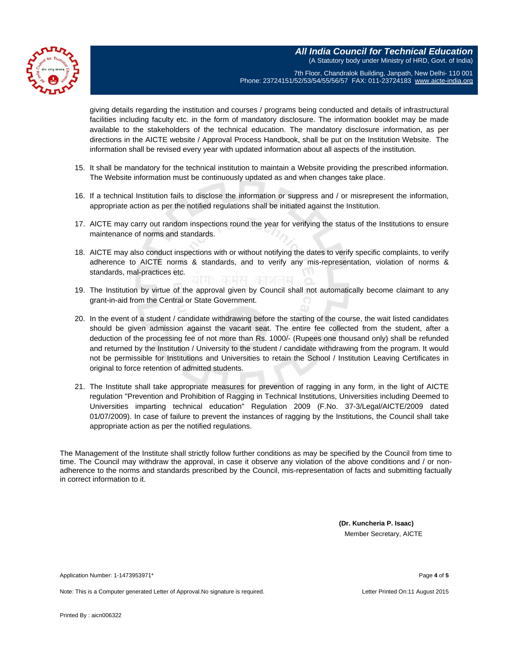

**All India Council for Technical Education** (A Statutory body under Ministry of HRD, Govt. of India) 7th Floor, Chandralok Building, Janpath, New Delhi- 110 001

Phone: 23724151/52/53/54/55/56/57 FAX: 011-23724183 [www.aicte-india.org](http://www.aicte-india.org/)

giving details regarding the institution and courses / programs being conducted and details of infrastructural facilities including faculty etc. in the form of mandatory disclosure. The information booklet may be made available to the stakeholders of the technical education. The mandatory disclosure information, as per directions in the AICTE website / Approval Process Handbook, shall be put on the Institution Website. The information shall be revised every year with updated information about all aspects of the institution.

- 15. It shall be mandatory for the technical institution to maintain a Website providing the prescribed information. The Website information must be continuously updated as and when changes take place.
- 16. If a technical Institution fails to disclose the information or suppress and / or misrepresent the information, appropriate action as per the notified regulations shall be initiated against the Institution.
- 17. AICTE may carry out random inspections round the year for verifying the status of the Institutions to ensure maintenance of norms and standards.
- 18. AICTE may also conduct inspections with or without notifying the dates to verify specific complaints, to verify adherence to AICTE norms & standards, and to verify any mis-representation, violation of norms & standards, mal-practices etc.
- 19. The Institution by virtue of the approval given by Council shall not automatically become claimant to any grant-in-aid from the Central or State Government.
- 20. In the event of a student / candidate withdrawing before the starting of the course, the wait listed candidates should be given admission against the vacant seat. The entire fee collected from the student, after a deduction of the processing fee of not more than Rs. 1000/- (Rupees one thousand only) shall be refunded and returned by the Institution / University to the student / candidate withdrawing from the program. It would not be permissible for Institutions and Universities to retain the School / Institution Leaving Certificates in original to force retention of admitted students.
- 21. The Institute shall take appropriate measures for prevention of ragging in any form, in the light of AICTE regulation "Prevention and Prohibition of Ragging in Technical Institutions, Universities including Deemed to Universities imparting technical education" Regulation 2009 (F.No. 37-3/Legal/AICTE/2009 dated 01/07/2009). In case of failure to prevent the instances of ragging by the Institutions, the Council shall take appropriate action as per the notified regulations.

The Management of the Institute shall strictly follow further conditions as may be specified by the Council from time to time. The Council may withdraw the approval, in case it observe any violation of the above conditions and / or nonadherence to the norms and standards prescribed by the Council, mis-representation of facts and submitting factually in correct information to it.

> **(Dr. Kuncheria P. Isaac)** Member Secretary, AICTE

Application Number: 1-1473953971\* Page **4** of **5**

Note: This is a Computer generated Letter of Approval. No signature is required. Letter Printed On:11 August 2015